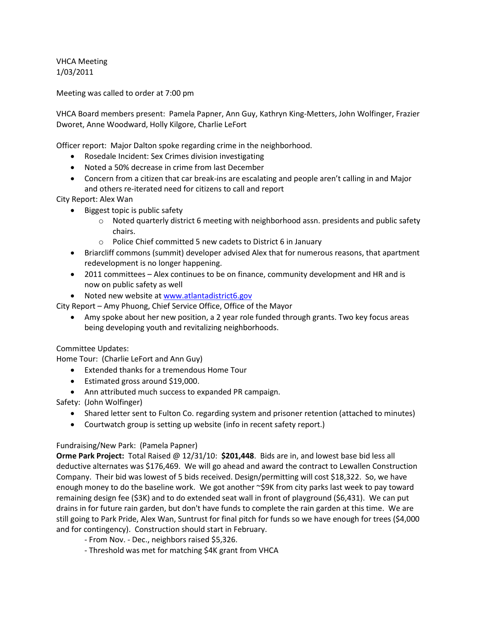VHCA Meeting 1/03/2011

Meeting was called to order at 7:00 pm

VHCA Board members present: Pamela Papner, Ann Guy, Kathryn King-Metters, John Wolfinger, Frazier Dworet, Anne Woodward, Holly Kilgore, Charlie LeFort

Officer report: Major Dalton spoke regarding crime in the neighborhood.

- Rosedale Incident: Sex Crimes division investigating
- Noted a 50% decrease in crime from last December
- Concern from a citizen that car break-ins are escalating and people aren't calling in and Major and others re-iterated need for citizens to call and report

City Report: Alex Wan

- Biggest topic is public safety
	- $\circ$  Noted quarterly district 6 meeting with neighborhood assn. presidents and public safety chairs.
	- o Police Chief committed 5 new cadets to District 6 in January
- Briarcliff commons (summit) developer advised Alex that for numerous reasons, that apartment redevelopment is no longer happening.
- 2011 committees Alex continues to be on finance, community development and HR and is now on public safety as well
- Noted new website at [www.atlantadistrict6.gov](http://www.atlantadistrict6.gov/)

City Report – Amy Phuong, Chief Service Office, Office of the Mayor

 Amy spoke about her new position, a 2 year role funded through grants. Two key focus areas being developing youth and revitalizing neighborhoods.

Committee Updates:

Home Tour: (Charlie LeFort and Ann Guy)

- Extended thanks for a tremendous Home Tour
- Estimated gross around \$19,000.
- Ann attributed much success to expanded PR campaign.

Safety: (John Wolfinger)

- Shared letter sent to Fulton Co. regarding system and prisoner retention (attached to minutes)
- Courtwatch group is setting up website (info in recent safety report.)

## Fundraising/New Park: (Pamela Papner)

**Orme Park Project:** Total Raised @ 12/31/10: **\$201,448**. Bids are in, and lowest base bid less all deductive alternates was \$176,469. We will go ahead and award the contract to Lewallen Construction Company. Their bid was lowest of 5 bids received. Design/permitting will cost \$18,322. So, we have enough money to do the baseline work. We got another ~\$9K from city parks last week to pay toward remaining design fee (\$3K) and to do extended seat wall in front of playground (\$6,431). We can put drains in for future rain garden, but don't have funds to complete the rain garden at this time. We are still going to Park Pride, Alex Wan, Suntrust for final pitch for funds so we have enough for trees (\$4,000 and for contingency). Construction should start in February.

- From Nov. - Dec., neighbors raised \$5,326.

- Threshold was met for matching \$4K grant from VHCA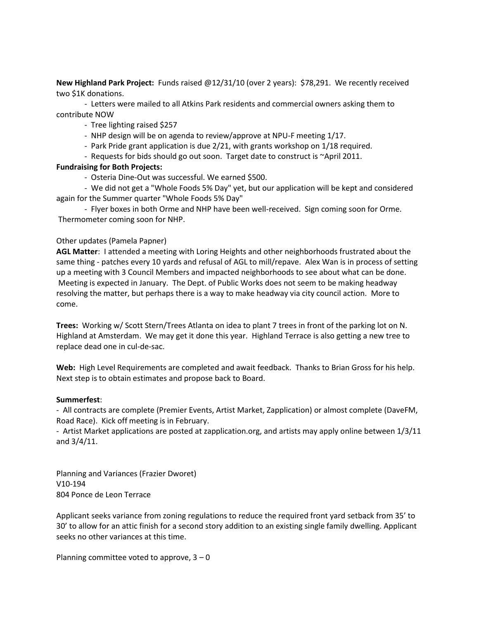**New Highland Park Project:** Funds raised @12/31/10 (over 2 years): \$78,291. We recently received two \$1K donations.

- Letters were mailed to all Atkins Park residents and commercial owners asking them to contribute NOW

- Tree lighting raised \$257
- NHP design will be on agenda to review/approve at NPU-F meeting 1/17.
- Park Pride grant application is due 2/21, with grants workshop on 1/18 required.
- Requests for bids should go out soon. Target date to construct is ~April 2011.

## **Fundraising for Both Projects:**

- Osteria Dine-Out was successful. We earned \$500.
- We did not get a "Whole Foods 5% Day" yet, but our application will be kept and considered again for the Summer quarter "Whole Foods 5% Day"

- Flyer boxes in both Orme and NHP have been well-received. Sign coming soon for Orme. Thermometer coming soon for NHP.

## Other updates (Pamela Papner)

**AGL Matter**: I attended a meeting with Loring Heights and other neighborhoods frustrated about the same thing - patches every 10 yards and refusal of AGL to mill/repave. Alex Wan is in process of setting up a meeting with 3 Council Members and impacted neighborhoods to see about what can be done. Meeting is expected in January. The Dept. of Public Works does not seem to be making headway resolving the matter, but perhaps there is a way to make headway via city council action. More to come.

**Trees:** Working w/ Scott Stern/Trees Atlanta on idea to plant 7 trees in front of the parking lot on N. Highland at Amsterdam. We may get it done this year. Highland Terrace is also getting a new tree to replace dead one in cul-de-sac.

**Web:** High Level Requirements are completed and await feedback. Thanks to Brian Gross for his help. Next step is to obtain estimates and propose back to Board.

## **Summerfest**:

- All contracts are complete (Premier Events, Artist Market, Zapplication) or almost complete (DaveFM, Road Race). Kick off meeting is in February.

- Artist Market applications are posted at zapplication.org, and artists may apply online between 1/3/11 and 3/4/11.

Planning and Variances (Frazier Dworet) V10-194 804 Ponce de Leon Terrace

Applicant seeks variance from zoning regulations to reduce the required front yard setback from 35' to 30' to allow for an attic finish for a second story addition to an existing single family dwelling. Applicant seeks no other variances at this time.

Planning committee voted to approve,  $3 - 0$